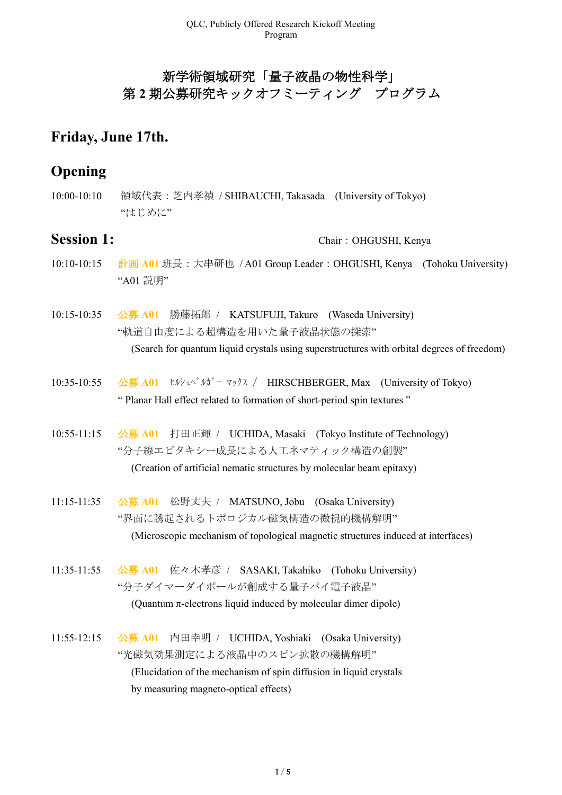## 新学術領域研究「量子液晶の物性科学」 第 **2** 期公募研究キックオフミーティング プログラム

## **Friday, June 17th.**

## **Opening**

10:00-10:10 領域代表:芝内孝禎 / SHIBAUCHI, Takasada (University of Tokyo) "はじめに"

**Session 1:** Chair: OHGUSHI, Kenya

- 10:10-10:15 計画 **A01** 班長:大串研也 / A01 Group Leader:OHGUSHI, Kenya (Tohoku University) "A01 説明"
- 10:15-10:35 公募 **A01** 勝藤拓郎 / KATSUFUJI, Takuro (Waseda University) "軌道自由度による超構造を用いた量子液晶状態の探索" (Search for quantum liquid crystals using superstructures with orbital degrees of freedom)
- 10:35-10:55 公募 A01 ヒルシュペ<sup>・</sup>ルガー マックス / HIRSCHBERGER, Max (University of Tokyo) " Planar Hall effect related to formation of short-period spin textures "
- 10:55-11:15 公募 **A01** 打田正輝 / UCHIDA, Masaki (Tokyo Institute of Technology) "分子線エピタキシー成長による人工ネマティック構造の創製" (Creation of artificial nematic structures by molecular beam epitaxy)
- 11:15-11:35 公募 **A01** 松野丈夫 / MATSUNO, Jobu (Osaka University) "界面に誘起されるトポロジカル磁気構造の微視的機構解明" (Microscopic mechanism of topological magnetic structures induced at interfaces)
- 11:35-11:55 公募 **A01** 佐々木孝彦 / SASAKI, Takahiko (Tohoku University) "分子ダイマーダイポールが創成する量子パイ電子液晶" (Quantum  $\pi$ -electrons liquid induced by molecular dimer dipole)
- 11:55-12:15 公募 **A01** 内田幸明 / UCHIDA, Yoshiaki (Osaka University) "光磁気効果測定による液晶中のスピン拡散の機構解明" (Elucidation of the mechanism of spin diffusion in liquid crystals by measuring magneto-optical effects)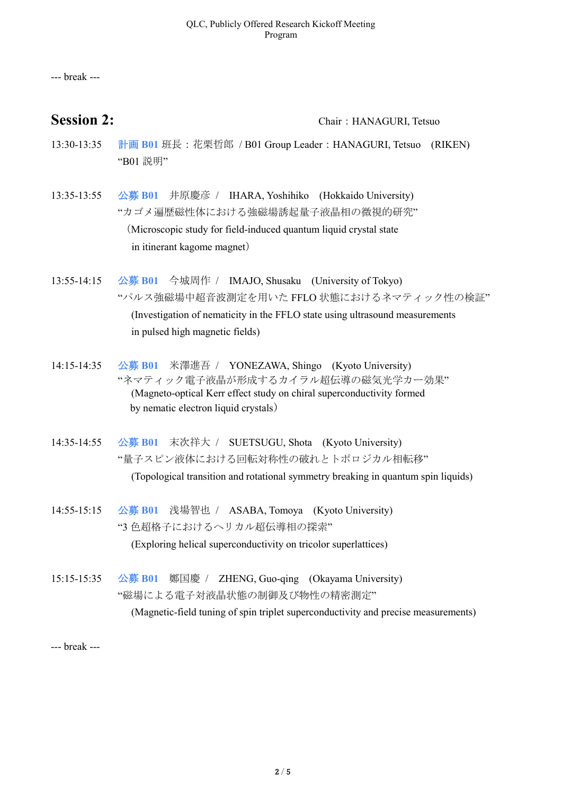--- break ---

## **Session 2:** Chair: HANAGURI, Tetsuo

- 13:30-13:35 計画 **B01** 班長:花栗哲郎 / B01 Group Leader:HANAGURI, Tetsuo (RIKEN) "B01 説明"
- 13:35-13:55 公募 **B01** 井原慶彦 / IHARA, Yoshihiko (Hokkaido University) "カゴメ遍歴磁性体における強磁場誘起量子液晶相の微視的研究" (Microscopic study for field-induced quantum liquid crystal state in itinerant kagome magnet)
- 13:55-14:15 公募 **B01** 今城周作 / IMAJO, Shusaku (University of Tokyo) "パルス強磁場中超音波測定を用いた FFLO 状態におけるネマティック性の検証" (Investigation of nematicity in the FFLO state using ultrasound measurements in pulsed high magnetic fields)
- 14:15-14:35 公募 **B01** 米澤進吾 / YONEZAWA, Shingo (Kyoto University) "ネマティック電子液晶が形成するカイラル超伝導の磁気光学カー効果" (Magneto-optical Kerr effect study on chiral superconductivity formed by nematic electron liquid crystals)
- 14:35-14:55 公募 **B01** 末次祥大 / SUETSUGU, Shota (Kyoto University) "量子スピン液体における回転対称性の破れとトポロジカル相転移" (Topological transition and rotational symmetry breaking in quantum spin liquids)
- 14:55-15:15 公募 **B01** 浅場智也 / ASABA, Tomoya (Kyoto University) "3 色超格子におけるヘリカル超伝導相の探索" (Exploring helical superconductivity on tricolor superlattices)
- 15:15-15:35 公募 **B01** 鄭国慶 / ZHENG, Guo-qing (Okayama University) "磁場による電子対液晶状態の制御及び物性の精密測定" (Magnetic-field tuning of spin triplet superconductivity and precise measurements)

--- break ---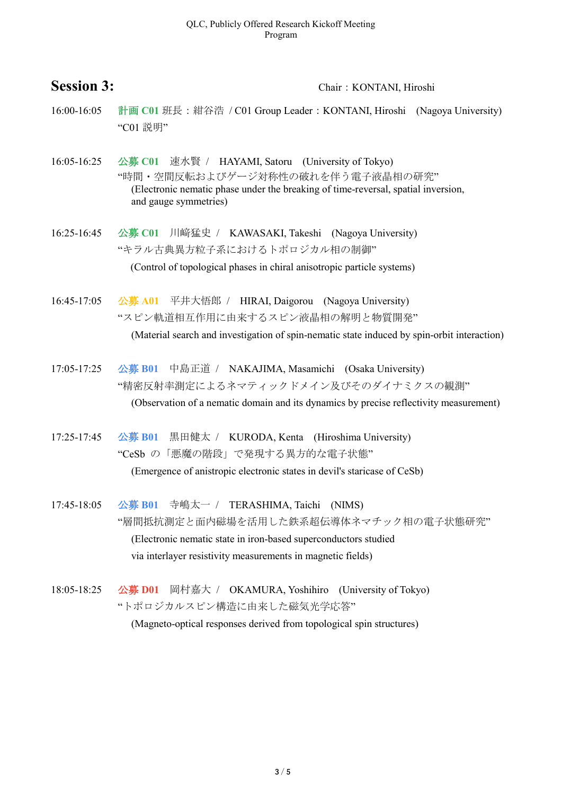### QLC, Publicly Offered Research Kickoff Meeting Program

## Session 3: Chair: KONTANI, Hiroshi

- 16:00-16:05 計画 C01 班長:紺谷浩 / C01 Group Leader: KONTANI, Hiroshi (Nagoya University) "C01 説明"
- 16:05-16:25 公募 **C01** 速水賢 / HAYAMI, Satoru (University of Tokyo) "時間・空間反転およびゲージ対称性の破れを伴う電子液晶相の研究" (Electronic nematic phase under the breaking of time-reversal, spatial inversion, and gauge symmetries)
- 16:25-16:45 公募 **C01** 川﨑猛史 / KAWASAKI, Takeshi (Nagoya University) "キラル古典異方粒子系におけるトポロジカル相の制御" (Control of topological phases in chiral anisotropic particle systems)
- 16:45-17:05 公募 **A01** 平井大悟郎 / HIRAI, Daigorou (Nagoya University) "スピン軌道相互作用に由来するスピン液晶相の解明と物質開発" (Material search and investigation of spin-nematic state induced by spin-orbit interaction)
- 17:05-17:25 公募 **B01** 中島正道 / NAKAJIMA, Masamichi (Osaka University) "精密反射率測定によるネマティックドメイン及びそのダイナミクスの観測" (Observation of a nematic domain and its dynamics by precise reflectivity measurement)
- 17:25-17:45 公募 **B01** 黒田健太 / KURODA, Kenta (Hiroshima University) "CeSb の「悪魔の階段」で発現する異方的な電子状態" (Emergence of anistropic electronic states in devil's staricase of CeSb)
- 17:45-18:05 公募 **B01** 寺嶋太一 / TERASHIMA, Taichi (NIMS) "層間抵抗測定と面内磁場を活用した鉄系超伝導体ネマチック相の電子状態研究" (Electronic nematic state in iron-based superconductors studied via interlayer resistivity measurements in magnetic fields)
- 18:05-18:25 公募 **D01** 岡村嘉大 / OKAMURA, Yoshihiro (University of Tokyo) "トポロジカルスピン構造に由来した磁気光学応答"

(Magneto-optical responses derived from topological spin structures)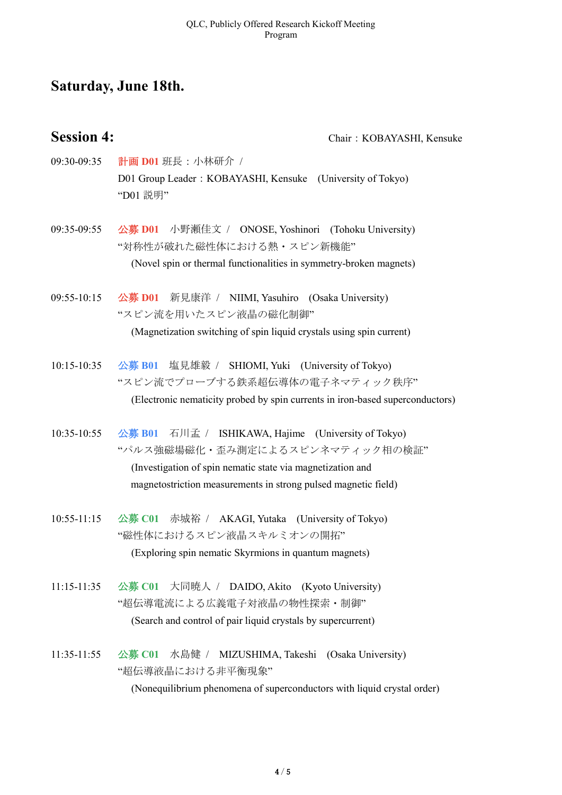## **Saturday, June 18th.**

**Session 4:** Chair: KOBAYASHI, Kensuke

- 09:30-09:35 計画 **D01** 班長:小林研介 / D01 Group Leader: KOBAYASHI, Kensuke (University of Tokyo) "D01 説明"
- 09:35-09:55 公募 **D01** 小野瀬佳文 / ONOSE, Yoshinori (Tohoku University) "対称性が破れた磁性体における熱・スピン新機能" (Novel spin or thermal functionalities in symmetry-broken magnets)
- 09:55-10:15 公募 **D01** 新見康洋 / NIIMI, Yasuhiro (Osaka University) "スピン流を用いたスピン液晶の磁化制御" (Magnetization switching of spin liquid crystals using spin current)
- 10:15-10:35 公募 **B01** 塩見雄毅 / SHIOMI, Yuki (University of Tokyo) "スピン流でプローブする鉄系超伝導体の電子ネマティック秩序" (Electronic nematicity probed by spin currents in iron-based superconductors)
- 10:35-10:55 公募 **B01** 石川孟 / ISHIKAWA, Hajime (University of Tokyo) "パルス強磁場磁化・歪み測定によるスピンネマティック相の検証" (Investigation of spin nematic state via magnetization and magnetostriction measurements in strong pulsed magnetic field)
- 10:55-11:15 公募 **C01** 赤城裕 / AKAGI, Yutaka (University of Tokyo) "磁性体におけるスピン液晶スキルミオンの開拓" (Exploring spin nematic Skyrmions in quantum magnets)
- 11:15-11:35 公募 **C01** 大同暁人 / DAIDO, Akito (Kyoto University) "超伝導電流による広義電子対液晶の物性探索・制御" (Search and control of pair liquid crystals by supercurrent)
- 11:35-11:55 公募 **C01** 水島健 / MIZUSHIMA, Takeshi (Osaka University) "超伝導液晶における非平衡現象" (Nonequilibrium phenomena of superconductors with liquid crystal order)